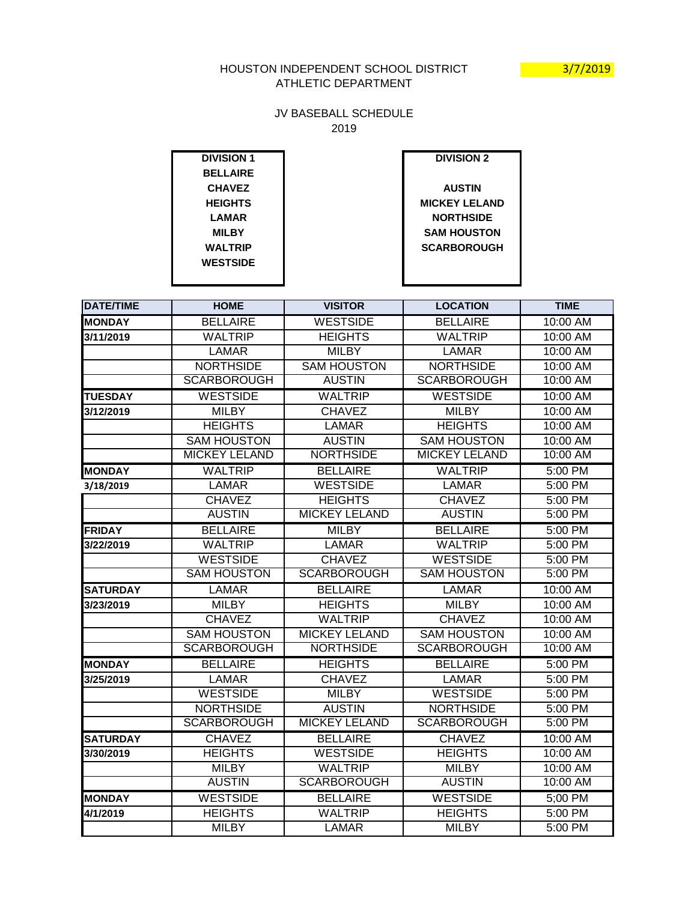## HOUSTON INDEPENDENT SCHOOL DISTRICT **1999 12/2019** ATHLETIC DEPARTMENT

## JV BASEBALL SCHEDULE 2019

| <b>DIVISION 1</b> | <b>DIVISION 2</b>    |
|-------------------|----------------------|
| <b>BELLAIRE</b>   |                      |
| <b>CHAVEZ</b>     | <b>AUSTIN</b>        |
| <b>HEIGHTS</b>    | <b>MICKEY LELAND</b> |
| <b>LAMAR</b>      | <b>NORTHSIDE</b>     |
| <b>MILBY</b>      | <b>SAM HOUSTON</b>   |
| <b>WALTRIP</b>    | <b>SCARBOROUGH</b>   |
| <b>WESTSIDE</b>   |                      |
|                   |                      |

| <b>DATE/TIME</b> | <b>HOME</b>          | <b>VISITOR</b>       | <b>LOCATION</b>      | <b>TIME</b> |
|------------------|----------------------|----------------------|----------------------|-------------|
| <b>MONDAY</b>    | <b>BELLAIRE</b>      | <b>WESTSIDE</b>      | <b>BELLAIRE</b>      | 10:00 AM    |
| 3/11/2019        | <b>WALTRIP</b>       | <b>HEIGHTS</b>       | <b>WALTRIP</b>       | 10:00 AM    |
|                  | <b>LAMAR</b>         | <b>MILBY</b>         | <b>LAMAR</b>         | 10:00 AM    |
|                  | <b>NORTHSIDE</b>     | <b>SAM HOUSTON</b>   | <b>NORTHSIDE</b>     | 10:00 AM    |
|                  | <b>SCARBOROUGH</b>   | <b>AUSTIN</b>        | <b>SCARBOROUGH</b>   | 10:00 AM    |
| <b>TUESDAY</b>   | <b>WESTSIDE</b>      | <b>WALTRIP</b>       | <b>WESTSIDE</b>      | 10:00 AM    |
| 3/12/2019        | <b>MILBY</b>         | <b>CHAVEZ</b>        | <b>MILBY</b>         | 10:00 AM    |
|                  | <b>HEIGHTS</b>       | <b>LAMAR</b>         | <b>HEIGHTS</b>       | 10:00 AM    |
|                  | <b>SAM HOUSTON</b>   | <b>AUSTIN</b>        | <b>SAM HOUSTON</b>   | $10:00$ AM  |
|                  | <b>MICKEY LELAND</b> | <b>NORTHSIDE</b>     | <b>MICKEY LELAND</b> | 10:00 AM    |
| <b>MONDAY</b>    | <b>WALTRIP</b>       | <b>BELLAIRE</b>      | <b>WALTRIP</b>       | $5:00$ PM   |
| 3/18/2019        | <b>LAMAR</b>         | <b>WESTSIDE</b>      | <b>LAMAR</b>         | 5:00 PM     |
|                  | <b>CHAVEZ</b>        | <b>HEIGHTS</b>       | <b>CHAVEZ</b>        | 5:00 PM     |
|                  | <b>AUSTIN</b>        | <b>MICKEY LELAND</b> | <b>AUSTIN</b>        | 5:00 PM     |
| <b>FRIDAY</b>    | <b>BELLAIRE</b>      | <b>MILBY</b>         | <b>BELLAIRE</b>      | 5:00 PM     |
| 3/22/2019        | <b>WALTRIP</b>       | <b>LAMAR</b>         | <b>WALTRIP</b>       | 5:00 PM     |
|                  | <b>WESTSIDE</b>      | <b>CHAVEZ</b>        | <b>WESTSIDE</b>      | 5:00 PM     |
|                  | <b>SAM HOUSTON</b>   | <b>SCARBOROUGH</b>   | <b>SAM HOUSTON</b>   | 5:00 PM     |
| <b>SATURDAY</b>  | <b>LAMAR</b>         | <b>BELLAIRE</b>      | <b>LAMAR</b>         | 10:00 AM    |
| 3/23/2019        | <b>MILBY</b>         | <b>HEIGHTS</b>       | <b>MILBY</b>         | 10:00 AM    |
|                  | <b>CHAVEZ</b>        | <b>WALTRIP</b>       | <b>CHAVEZ</b>        | 10:00 AM    |
|                  | <b>SAM HOUSTON</b>   | <b>MICKEY LELAND</b> | <b>SAM HOUSTON</b>   | 10:00 AM    |
|                  | <b>SCARBOROUGH</b>   | <b>NORTHSIDE</b>     | <b>SCARBOROUGH</b>   | 10:00 AM    |
| <b>MONDAY</b>    | <b>BELLAIRE</b>      | <b>HEIGHTS</b>       | <b>BELLAIRE</b>      | 5:00 PM     |
| 3/25/2019        | <b>LAMAR</b>         | <b>CHAVEZ</b>        | <b>LAMAR</b>         | 5:00 PM     |
|                  | <b>WESTSIDE</b>      | <b>MILBY</b>         | <b>WESTSIDE</b>      | 5:00 PM     |
|                  | <b>NORTHSIDE</b>     | <b>AUSTIN</b>        | <b>NORTHSIDE</b>     | 5:00 PM     |
|                  | <b>SCARBOROUGH</b>   | <b>MICKEY LELAND</b> | <b>SCARBOROUGH</b>   | 5:00 PM     |
| <b>SATURDAY</b>  | <b>CHAVEZ</b>        | <b>BELLAIRE</b>      | <b>CHAVEZ</b>        | 10:00 AM    |
| 3/30/2019        | <b>HEIGHTS</b>       | <b>WESTSIDE</b>      | <b>HEIGHTS</b>       | 10:00 AM    |
|                  | <b>MILBY</b>         | <b>WALTRIP</b>       | <b>MILBY</b>         | 10:00 AM    |
|                  | <b>AUSTIN</b>        | <b>SCARBOROUGH</b>   | <b>AUSTIN</b>        | 10:00 AM    |
| <b>MONDAY</b>    | <b>WESTSIDE</b>      | <b>BELLAIRE</b>      | <b>WESTSIDE</b>      | 5;00 PM     |
| 4/1/2019         | <b>HEIGHTS</b>       | <b>WALTRIP</b>       | <b>HEIGHTS</b>       | 5:00 PM     |
|                  | <b>MILBY</b>         | <b>LAMAR</b>         | <b>MILBY</b>         | 5:00 PM     |